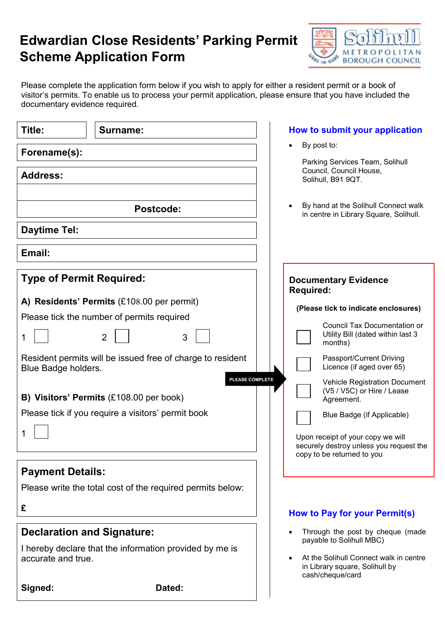## Edwardian Close Residents' Parking Permit Scheme Application Form



Please complete the application form below if you wish to apply for either a resident permit or a book of visitor's permits. To enable us to process your permit application, please ensure that you have included the documentary evidence required.

| Title:                                             | <b>Surname:</b>                                            | How to submit your application                                                                                                                                                    |  |
|----------------------------------------------------|------------------------------------------------------------|-----------------------------------------------------------------------------------------------------------------------------------------------------------------------------------|--|
| Forename(s):                                       |                                                            | By post to:<br>Parking Services Team, Solihull<br>Council, Council House,<br>Solihull, B91 9QT.<br>By hand at the Solihull Connect walk<br>in centre in Library Square, Solihull. |  |
| <b>Address:</b>                                    |                                                            |                                                                                                                                                                                   |  |
| <b>Postcode:</b>                                   |                                                            |                                                                                                                                                                                   |  |
| <b>Daytime Tel:</b>                                |                                                            |                                                                                                                                                                                   |  |
| Email:                                             |                                                            |                                                                                                                                                                                   |  |
| <b>Type of Permit Required:</b>                    |                                                            | <b>Documentary Evidence</b><br><b>Required:</b>                                                                                                                                   |  |
| A) Residents' Permits (£108.00 per permit)         |                                                            | (Please tick to indicate enclosures)                                                                                                                                              |  |
|                                                    | Please tick the number of permits required                 | <b>Council Tax Documentation or</b>                                                                                                                                               |  |
|                                                    | $\overline{2}$<br>3                                        | Utility Bill (dated within last 3<br>months)                                                                                                                                      |  |
| Blue Badge holders.                                | Resident permits will be issued free of charge to resident | Passport/Current Driving<br>Licence (if aged over 65)                                                                                                                             |  |
|                                                    | B) Visitors' Permits (£108.00 per book)                    | PLEASE COMPLETE<br><b>Vehicle Registration Document</b><br>(V5 / V5C) or Hire / Lease<br>Agreement.                                                                               |  |
| Please tick if you require a visitors' permit book |                                                            | Blue Badge (if Applicable)                                                                                                                                                        |  |
|                                                    |                                                            |                                                                                                                                                                                   |  |
|                                                    |                                                            | Upon receipt of your copy we will<br>securely destroy unless you request the<br>copy to be returned to you                                                                        |  |
| <b>Payment Details:</b>                            |                                                            |                                                                                                                                                                                   |  |
|                                                    | Please write the total cost of the required permits below: |                                                                                                                                                                                   |  |
| £                                                  |                                                            | How to Pay for your Permit(s)                                                                                                                                                     |  |
| <b>Declaration and Signature:</b>                  |                                                            | Through the post by cheque (made                                                                                                                                                  |  |
|                                                    | I hereby declare that the information provided by me is    | payable to Solihull MBC)                                                                                                                                                          |  |
| accurate and true.                                 |                                                            | At the Solihull Connect walk in centre<br>in Library square, Solihull by<br>cash/cheque/card                                                                                      |  |
| Signed:                                            | Dated:                                                     |                                                                                                                                                                                   |  |